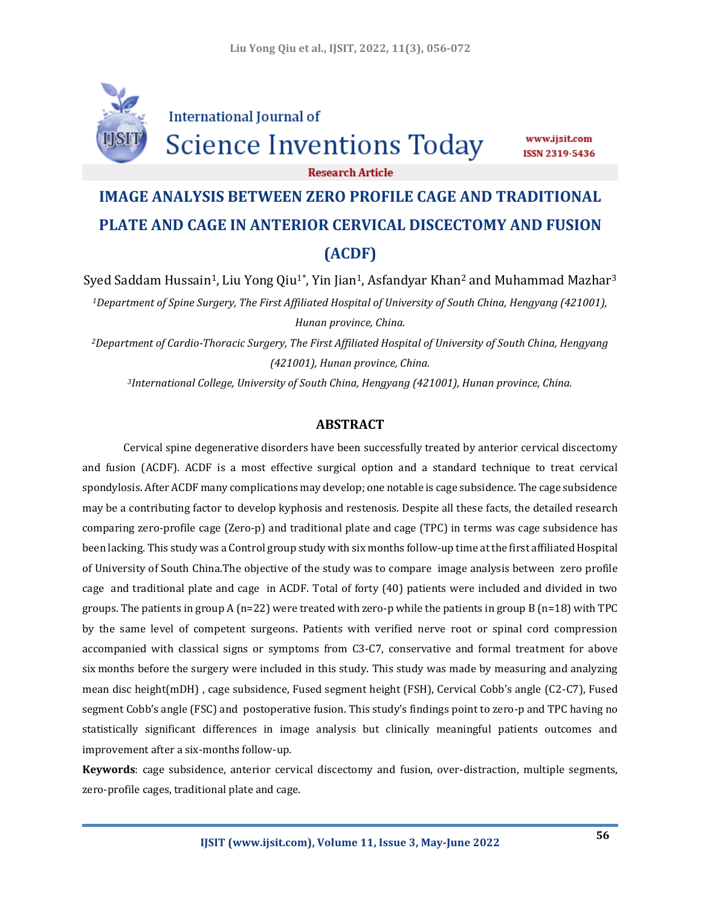

**International Journal of** 

Science Inventions Today

www.ijsit.com ISSN 2319-5436

**Research Article** 

# **IMAGE ANALYSIS BETWEEN ZERO PROFILE CAGE AND TRADITIONAL PLATE AND CAGE IN ANTERIOR CERVICAL DISCECTOMY AND FUSION (ACDF)**

Syed Saddam Hussain<sup>1</sup>, Liu Yong Qiu<sup>1\*</sup>, Yin Jian<sup>1</sup>, Asfandyar Khan<sup>2</sup> and Muhammad Mazhar<sup>3</sup> *<sup>1</sup>Department of Spine Surgery, The First Affiliated Hospital of University of South China, Hengyang (421001), Hunan province, China.*

*<sup>2</sup>Department of Cardio-Thoracic Surgery, The First Affiliated Hospital of University of South China, Hengyang (421001), Hunan province, China.*

*<sup>3</sup>International College, University of South China, Hengyang (421001), Hunan province, China.*

## **ABSTRACT**

Cervical spine degenerative disorders have been successfully treated by anterior cervical discectomy and fusion (ACDF). ACDF is a most effective surgical option and a standard technique to treat cervical spondylosis. After ACDF many complications may develop; one notable is cage subsidence. The cage subsidence may be a contributing factor to develop kyphosis and restenosis. Despite all these facts, the detailed research comparing zero-profile cage (Zero-p) and traditional plate and cage (TPC) in terms was cage subsidence has been lacking. This study was a Control group study with six months follow-up time at the first affiliated Hospital of University of South China.The objective of the study was to compare image analysis between zero profile cage and traditional plate and cage in ACDF. Total of forty (40) patients were included and divided in two groups. The patients in group A (n=22) were treated with zero-p while the patients in group B (n=18) with TPC by the same level of competent surgeons. Patients with verified nerve root or spinal cord compression accompanied with classical signs or symptoms from C3‐C7, conservative and formal treatment for above six months before the surgery were included in this study. This study was made by measuring and analyzing mean disc height(mDH) , cage subsidence, Fused segment height (FSH), Cervical Cobb's angle (C2-C7), Fused segment Cobb's angle (FSC) and postoperative fusion. This study's findings point to zero-p and TPC having no statistically significant differences in image analysis but clinically meaningful patients outcomes and improvement after a six-months follow-up.

**Keywords**: cage subsidence, anterior cervical discectomy and fusion, over-distraction, multiple segments, zero-profile cages, traditional plate and cage.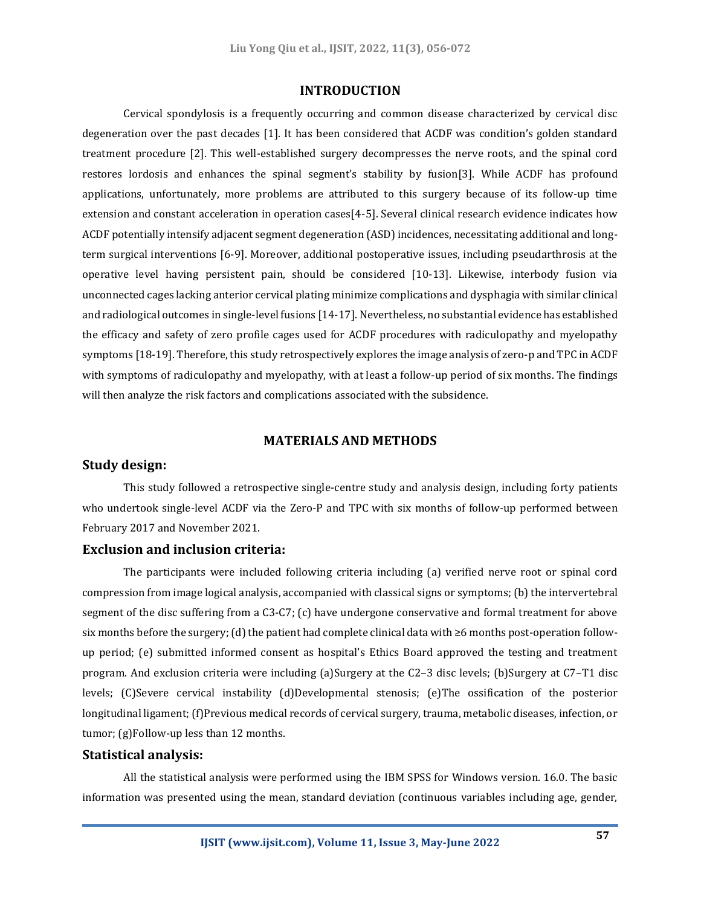#### **INTRODUCTION**

Cervical spondylosis is a frequently occurring and common disease characterized by cervical disc degeneration over the past decades [1]. It has been considered that ACDF was condition's golden standard treatment procedure [2]. This well-established surgery decompresses the nerve roots, and the spinal cord restores lordosis and enhances the spinal segment's stability by fusion[3]. While ACDF has profound applications, unfortunately, more problems are attributed to this surgery because of its follow‐up time extension and constant acceleration in operation cases[4-5]. Several clinical research evidence indicates how ACDF potentially intensify adjacent segment degeneration (ASD) incidences, necessitating additional and longterm surgical interventions [6-9]. Moreover, additional postoperative issues, including pseudarthrosis at the operative level having persistent pain, should be considered [10-13]. Likewise, interbody fusion via unconnected cages lacking anterior cervical plating minimize complications and dysphagia with similar clinical and radiological outcomes in single-level fusions [14-17]. Nevertheless, no substantial evidence has established the efficacy and safety of zero profile cages used for ACDF procedures with radiculopathy and myelopathy symptoms [18-19]. Therefore, this study retrospectively explores the image analysis of zero-p and TPC in ACDF with symptoms of radiculopathy and myelopathy, with at least a follow-up period of six months. The findings will then analyze the risk factors and complications associated with the subsidence.

## **MATERIALS AND METHODS**

## **Study design:**

This study followed a retrospective single-centre study and analysis design, including forty patients who undertook single-level ACDF via the Zero-P and TPC with six months of follow-up performed between February 2017 and November 2021.

#### **Exclusion and inclusion criteria:**

The participants were included following criteria including (a) verified nerve root or spinal cord compression from image logical analysis, accompanied with classical signs or symptoms; (b) the intervertebral segment of the disc suffering from a C3‐C7; (c) have undergone conservative and formal treatment for above six months before the surgery; (d) the patient had complete clinical data with ≥6 months post-operation followup period; (e) submitted informed consent as hospital's Ethics Board approved the testing and treatment program. And exclusion criteria were including (a)Surgery at the C2–3 disc levels; (b)Surgery at C7–T1 disc levels; (C)Severe cervical instability (d)Developmental stenosis; (e)The ossification of the posterior longitudinal ligament; (f)Previous medical records of cervical surgery, trauma, metabolic diseases, infection, or tumor; (g)Follow-up less than 12 months.

## **Statistical analysis:**

All the statistical analysis were performed using the IBM SPSS for Windows version. 16.0. The basic information was presented using the mean, standard deviation (continuous variables including age, gender,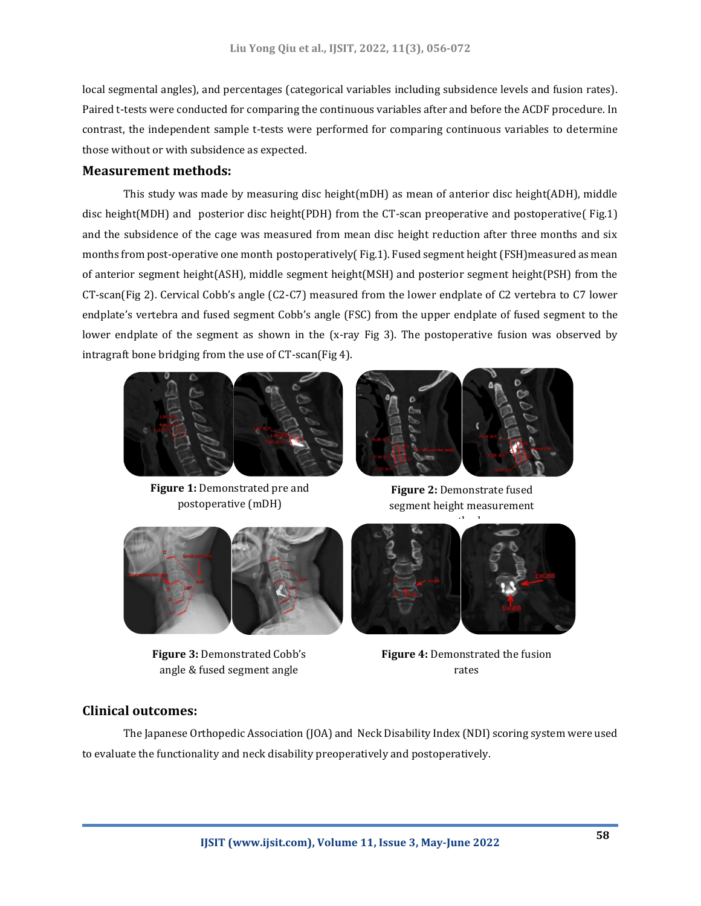local segmental angles), and percentages (categorical variables including subsidence levels and fusion rates). Paired t-tests were conducted for comparing the continuous variables after and before the ACDF procedure. In contrast, the independent sample t-tests were performed for comparing continuous variables to determine those without or with subsidence as expected.

#### **Measurement methods:**

This study was made by measuring disc height(mDH) as mean of anterior disc height(ADH), middle disc height(MDH) and posterior disc height(PDH) from the CT-scan preoperative and postoperative( Fig.1) and the subsidence of the cage was measured from mean disc height reduction after three months and six months from post-operative one month postoperatively( Fig.1). Fused segment height (FSH)measured as mean of anterior segment height(ASH), middle segment height(MSH) and posterior segment height(PSH) from the CT-scan(Fig 2). Cervical Cobb's angle (C2-C7) measured from the lower endplate of C2 vertebra to C7 lower endplate's vertebra and fused segment Cobb's angle (FSC) from the upper endplate of fused segment to the lower endplate of the segment as shown in the (x-ray Fig 3). The postoperative fusion was observed by intragraft bone bridging from the use of CT-scan(Fig 4).



**Figure 1:** Demonstrated pre and postoperative (mDH)



**Figure 2:** Demonstrate fused segment height measurement



**Figure 3:** Demonstrated Cobb's angle & fused segment angle



**Figure 4:** Demonstrated the fusion rates

## **Clinical outcomes:**

The Japanese Orthopedic Association (JOA) and Neck Disability Index (NDI) scoring system were used to evaluate the functionality and neck disability preoperatively and postoperatively.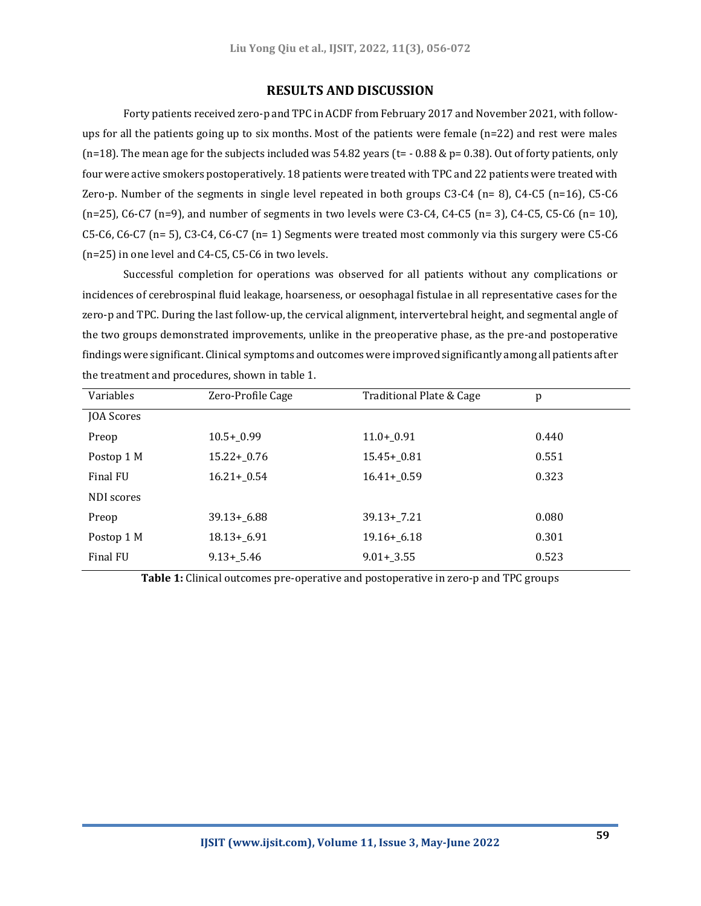### **RESULTS AND DISCUSSION**

Forty patients received zero-p and TPC in ACDF from February 2017 and November 2021, with followups for all the patients going up to six months. Most of the patients were female (n=22) and rest were males  $(n=18)$ . The mean age for the subjects included was 54.82 years (t= - 0.88 & p= 0.38). Out of forty patients, only four were active smokers postoperatively. 18 patients were treated with TPC and 22 patients were treated with Zero-p. Number of the segments in single level repeated in both groups C3-C4 (n= 8), C4-C5 (n=16), C5-C6  $(n=25)$ , C6-C7 (n=9), and number of segments in two levels were C3-C4, C4-C5 (n= 3), C4-C5, C5-C6 (n= 10), C5-C6, C6-C7 (n= 5), C3-C4, C6-C7 (n= 1) Segments were treated most commonly via this surgery were C5-C6 (n=25) in one level and C4-C5, C5-C6 in two levels.

Successful completion for operations was observed for all patients without any complications or incidences of cerebrospinal fluid leakage, hoarseness, or oesophagal fistulae in all representative cases for the zero-p and TPC. During the last follow-up, the cervical alignment, intervertebral height, and segmental angle of the two groups demonstrated improvements, unlike in the preoperative phase, as the pre-and postoperative findings were significant. Clinical symptoms and outcomes were improved significantly among all patients after the treatment and procedures, shown in table 1.

| Variables  | Zero-Profile Cage | Traditional Plate & Cage | p     |
|------------|-------------------|--------------------------|-------|
| JOA Scores |                   |                          |       |
| Preop      | $10.5 + 0.99$     | $11.0 + 0.91$            | 0.440 |
| Postop 1 M | $15.22 + 0.76$    | $15.45 + 0.81$           | 0.551 |
| Final FU   | $16.21 + 0.54$    | $16.41 + 0.59$           | 0.323 |
| NDI scores |                   |                          |       |
| Preop      | $39.13 + 6.88$    | $39.13 + 7.21$           | 0.080 |
| Postop 1 M | $18.13 + 6.91$    | $19.16 + 6.18$           | 0.301 |
| Final FU   | $9.13 + 5.46$     | $9.01 + 3.55$            | 0.523 |

**Table 1:** Clinical outcomes pre-operative and postoperative in zero-p and TPC groups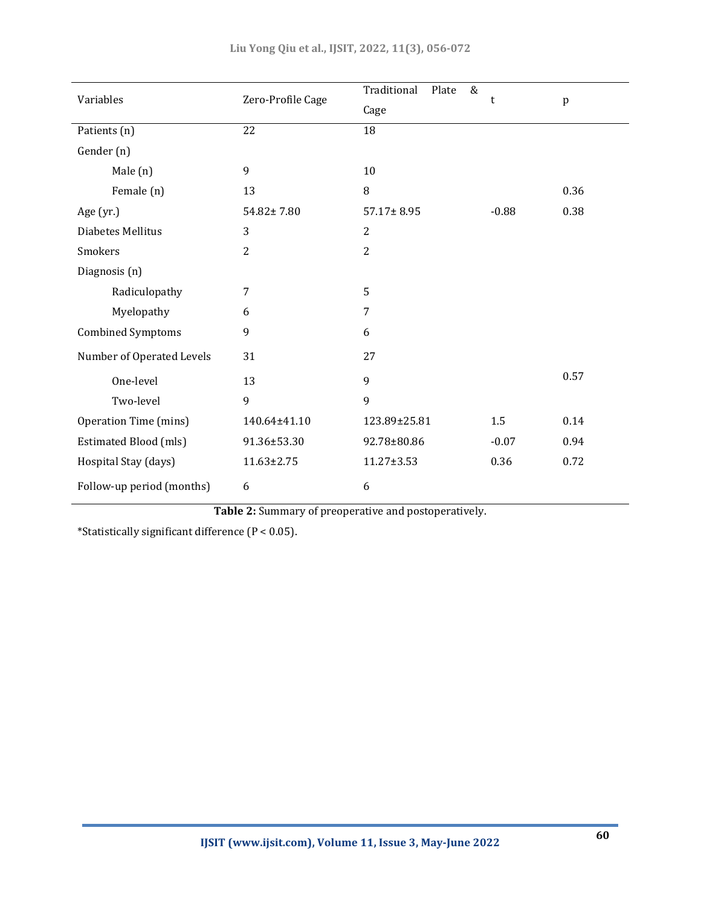| Variables                    | Zero-Profile Cage | Traditional<br>$\&$<br>Plate | t       | $\mathbf{p}$ |
|------------------------------|-------------------|------------------------------|---------|--------------|
|                              |                   | Cage                         |         |              |
| Patients (n)                 | 22                | 18                           |         |              |
| Gender (n)                   |                   |                              |         |              |
| Male (n)                     | 9                 | 10                           |         |              |
| Female (n)                   | 13                | 8                            |         | 0.36         |
| Age $(yr.)$                  | 54.82±7.80        | $57.17 \pm 8.95$             | $-0.88$ | 0.38         |
| Diabetes Mellitus            | 3                 | $\overline{2}$               |         |              |
| Smokers                      | $\mathbf{2}$      | 2                            |         |              |
| Diagnosis (n)                |                   |                              |         |              |
| Radiculopathy                | 7                 | 5                            |         |              |
| Myelopathy                   | 6                 | $\overline{7}$               |         |              |
| <b>Combined Symptoms</b>     | 9                 | 6                            |         |              |
| Number of Operated Levels    | 31                | 27                           |         |              |
| One-level                    | 13                | 9                            |         | 0.57         |
| Two-level                    | 9                 | 9                            |         |              |
| <b>Operation Time (mins)</b> | 140.64±41.10      | 123.89±25.81                 | 1.5     | 0.14         |
| <b>Estimated Blood (mls)</b> | 91.36±53.30       | 92.78±80.86                  | $-0.07$ | 0.94         |
| Hospital Stay (days)         | $11.63 \pm 2.75$  | 11.27±3.53                   | 0.36    | 0.72         |
| Follow-up period (months)    | 6                 | 6                            |         |              |

**Table 2:** Summary of preoperative and postoperatively.

\*Statistically significant difference (P < 0.05).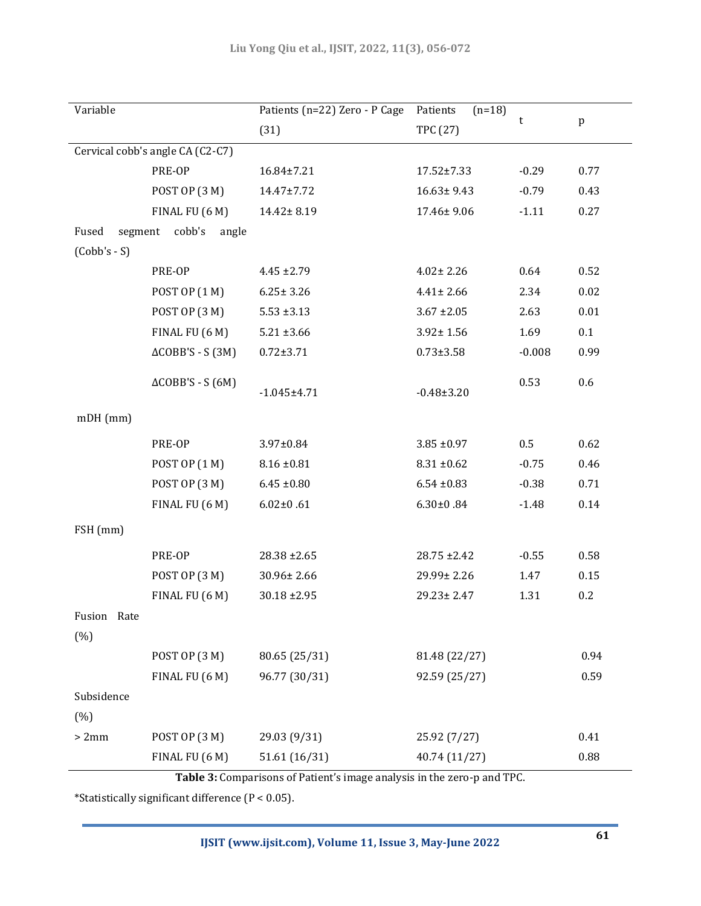| Variable                         |                            | Patients (n=22) Zero - P Cage | Patients<br>$(n=18)$ |          |      |  |  |
|----------------------------------|----------------------------|-------------------------------|----------------------|----------|------|--|--|
|                                  |                            | (31)                          | <b>TPC (27)</b>      | t        | p    |  |  |
| Cervical cobb's angle CA (C2-C7) |                            |                               |                      |          |      |  |  |
|                                  | PRE-OP                     | 16.84±7.21                    | $17.52 \pm 7.33$     | $-0.29$  | 0.77 |  |  |
|                                  | POST OP (3 M)              | 14.47±7.72                    | $16.63 \pm 9.43$     | $-0.79$  | 0.43 |  |  |
|                                  | FINAL FU (6 M)             | 14.42±8.19                    | 17.46±9.06           | $-1.11$  | 0.27 |  |  |
| Fused                            | segment cobb's<br>angle    |                               |                      |          |      |  |  |
| $(Cobb's - S)$                   |                            |                               |                      |          |      |  |  |
|                                  | PRE-OP                     | $4.45 \pm 2.79$               | $4.02 \pm 2.26$      | 0.64     | 0.52 |  |  |
|                                  | POST OP (1 M)              | $6.25 \pm 3.26$               | $4.41 \pm 2.66$      | 2.34     | 0.02 |  |  |
|                                  | POST OP (3 M)              | $5.53 \pm 3.13$               | $3.67 \pm 2.05$      | 2.63     | 0.01 |  |  |
|                                  | FINAL FU (6 M)             | $5.21 \pm 3.66$               | $3.92 \pm 1.56$      | 1.69     | 0.1  |  |  |
|                                  | $\triangle COBB'S - S(3M)$ | $0.72 \pm 3.71$               | $0.73 \pm 3.58$      | $-0.008$ | 0.99 |  |  |
|                                  | $\triangle COBB'S - S(6M)$ |                               |                      | 0.53     | 0.6  |  |  |
|                                  |                            | $-1.045 \pm 4.71$             | $-0.48 \pm 3.20$     |          |      |  |  |
| $mDH$ (mm)                       |                            |                               |                      |          |      |  |  |
|                                  | PRE-OP                     | $3.97 \pm 0.84$               | $3.85 \pm 0.97$      | $0.5\,$  | 0.62 |  |  |
|                                  | POST OP (1 M)              | $8.16 \pm 0.81$               | $8.31 \pm 0.62$      | $-0.75$  | 0.46 |  |  |
|                                  | POST OP (3 M)              | $6.45 \pm 0.80$               | $6.54 \pm 0.83$      | $-0.38$  | 0.71 |  |  |
|                                  | FINAL FU (6 M)             | $6.02 \pm 0.61$               | $6.30 \pm 0.84$      | $-1.48$  | 0.14 |  |  |
| FSH (mm)                         |                            |                               |                      |          |      |  |  |
|                                  | PRE-OP                     | $28.38 \pm 2.65$              | $28.75 \pm 2.42$     | $-0.55$  | 0.58 |  |  |
|                                  | POST OP (3 M)              | 30.96±2.66                    | 29.99± 2.26          | 1.47     | 0.15 |  |  |
|                                  | FINAL FU (6 M)             | $30.18 \pm 2.95$              | $29.23 \pm 2.47$     | 1.31     | 0.2  |  |  |
| Fusion Rate                      |                            |                               |                      |          |      |  |  |
| (%)                              |                            |                               |                      |          |      |  |  |
|                                  | POST OP (3 M)              | 80.65 (25/31)                 | 81.48 (22/27)        |          | 0.94 |  |  |
|                                  | FINAL FU (6 M)             | 96.77 (30/31)                 | 92.59 (25/27)        |          | 0.59 |  |  |
| Subsidence                       |                            |                               |                      |          |      |  |  |
| (% )                             |                            |                               |                      |          |      |  |  |
| >2mm                             | POST OP (3 M)              | 29.03 (9/31)                  | 25.92 (7/27)         |          | 0.41 |  |  |
|                                  | FINAL FU (6 M)             | 51.61 (16/31)                 | 40.74 (11/27)        |          | 0.88 |  |  |

**Table 3:** Comparisons of Patient's image analysis in the zero-p and TPC.

\*Statistically significant difference (P < 0.05).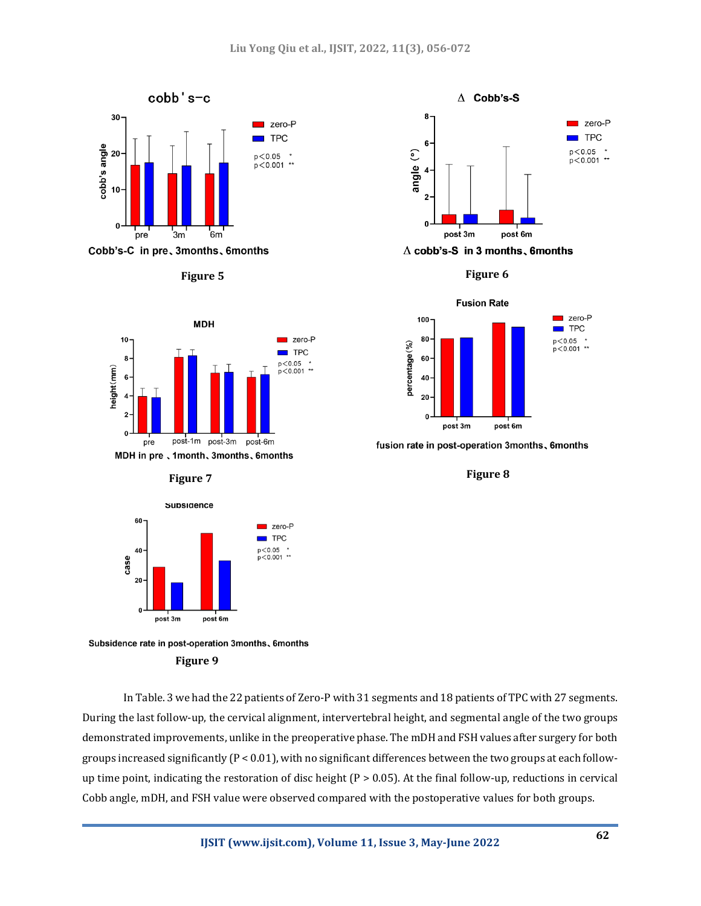

Cobb's-C in pre, 3months, 6months









Subsidence rate in post-operation 3months, 6months **Figure 9**

In Table. 3 we had the 22 patients of Zero-P with 31 segments and 18 patients of TPC with 27 segments. During the last follow-up, the cervical alignment, intervertebral height, and segmental angle of the two groups demonstrated improvements, unlike in the preoperative phase. The mDH and FSH values after surgery for both groups increased significantly  $(P < 0.01)$ , with no significant differences between the two groups at each followup time point, indicating the restoration of disc height  $(P > 0.05)$ . At the final follow-up, reductions in cervical Cobb angle, mDH, and FSH value were observed compared with the postoperative values for both groups.





fusion rate in post-operation 3months, 6months

**Figure 8**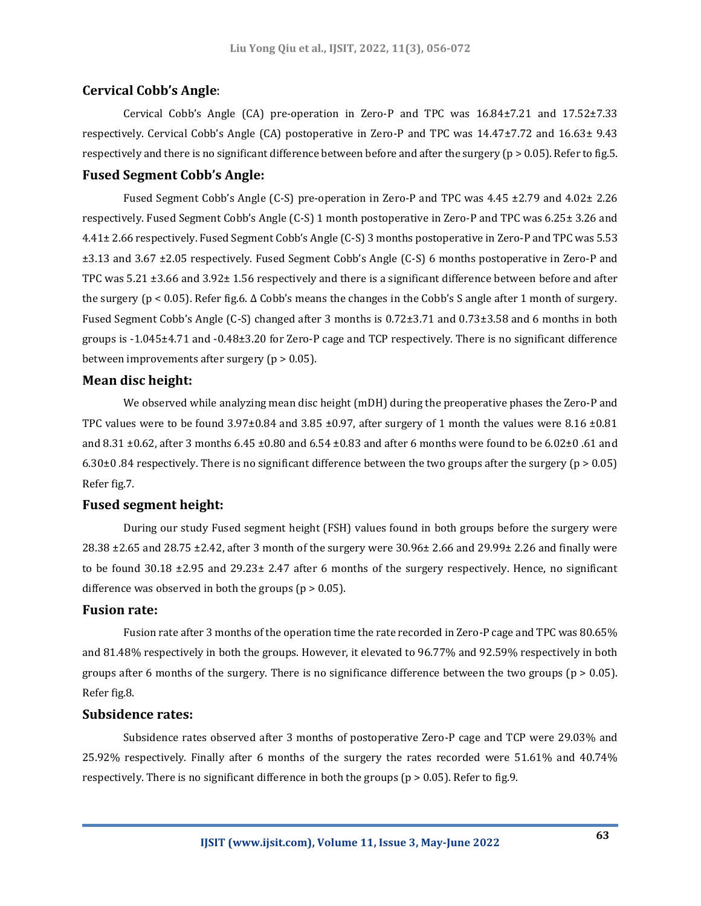#### **Cervical Cobb's Angle**:

Cervical Cobb's Angle (CA) pre-operation in Zero-P and TPC was 16.84±7.21 and 17.52±7.33 respectively. Cervical Cobb's Angle (CA) postoperative in Zero-P and TPC was 14.47±7.72 and 16.63± 9.43 respectively and there is no significant difference between before and after the surgery (p > 0.05). Refer to fig.5.

## **Fused Segment Cobb's Angle:**

Fused Segment Cobb's Angle (C-S) pre-operation in Zero-P and TPC was 4.45 ±2.79 and 4.02± 2.26 respectively. Fused Segment Cobb's Angle (C-S) 1 month postoperative in Zero-P and TPC was 6.25± 3.26 and 4.41± 2.66 respectively. Fused Segment Cobb's Angle (C-S) 3 months postoperative in Zero-P and TPC was 5.53 ±3.13 and 3.67 ±2.05 respectively. Fused Segment Cobb's Angle (C-S) 6 months postoperative in Zero-P and TPC was 5.21 ±3.66 and 3.92± 1.56 respectively and there is a significant difference between before and after the surgery (p < 0.05). Refer fig.6. Δ Cobb's means the changes in the Cobb's S angle after 1 month of surgery. Fused Segment Cobb's Angle (C-S) changed after 3 months is 0.72±3.71 and 0.73±3.58 and 6 months in both groups is -1.045±4.71 and -0.48±3.20 for Zero-P cage and TCP respectively. There is no significant difference between improvements after surgery (p > 0.05).

### **Mean disc height:**

We observed while analyzing mean disc height (mDH) during the preoperative phases the Zero-P and TPC values were to be found  $3.97\pm0.84$  and  $3.85\pm0.97$ , after surgery of 1 month the values were 8.16  $\pm0.81$ and 8.31  $\pm$ 0.62, after 3 months 6.45  $\pm$ 0.80 and 6.54  $\pm$ 0.83 and after 6 months were found to be 6.02 $\pm$ 0.61 and 6.30 $\pm$ 0.84 respectively. There is no significant difference between the two groups after the surgery (p > 0.05) Refer fig.7.

#### **Fused segment height:**

During our study Fused segment height (FSH) values found in both groups before the surgery were 28.38 ±2.65 and 28.75 ±2.42, after 3 month of the surgery were 30.96± 2.66 and 29.99± 2.26 and finally were to be found 30.18 ±2.95 and 29.23± 2.47 after 6 months of the surgery respectively. Hence, no significant difference was observed in both the groups ( $p > 0.05$ ).

#### **Fusion rate:**

Fusion rate after 3 months of the operation time the rate recorded in Zero-P cage and TPC was 80.65% and 81.48% respectively in both the groups. However, it elevated to 96.77% and 92.59% respectively in both groups after 6 months of the surgery. There is no significance difference between the two groups ( $p > 0.05$ ). Refer fig.8.

#### **Subsidence rates:**

Subsidence rates observed after 3 months of postoperative Zero-P cage and TCP were 29.03% and 25.92% respectively. Finally after 6 months of the surgery the rates recorded were 51.61% and 40.74% respectively. There is no significant difference in both the groups (p > 0.05). Refer to fig.9.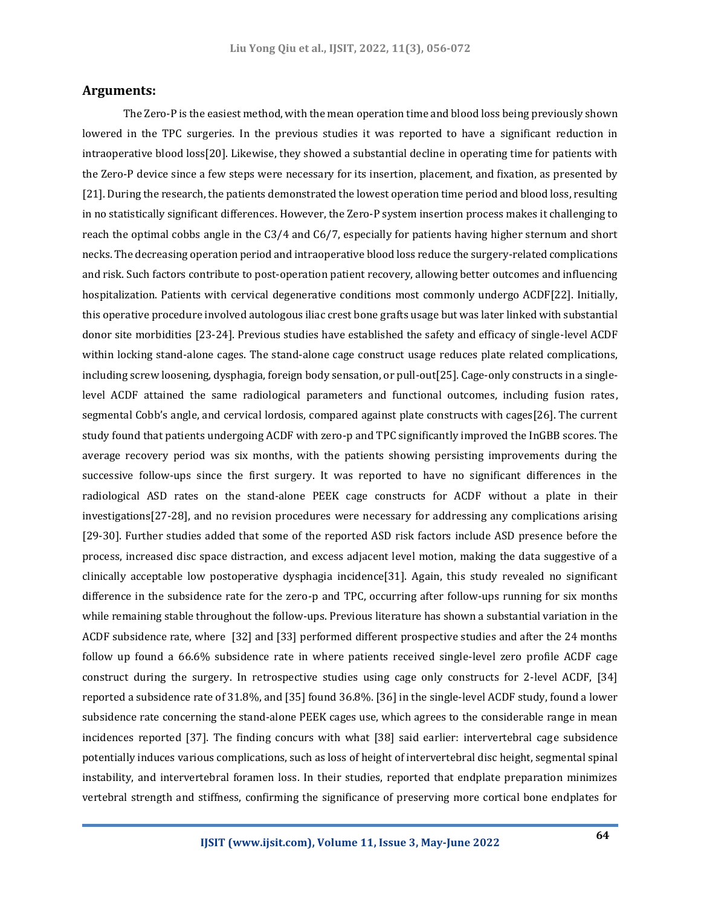#### **Arguments:**

The Zero-P is the easiest method, with the mean operation time and blood loss being previously shown lowered in the TPC surgeries. In the previous studies it was reported to have a significant reduction in intraoperative blood loss[20]. Likewise, they showed a substantial decline in operating time for patients with the Zero-P device since a few steps were necessary for its insertion, placement, and fixation, as presented by [21]. During the research, the patients demonstrated the lowest operation time period and blood loss, resulting in no statistically significant differences. However, the Zero-P system insertion process makes it challenging to reach the optimal cobbs angle in the C3/4 and C6/7, especially for patients having higher sternum and short necks. The decreasing operation period and intraoperative blood loss reduce the surgery-related complications and risk. Such factors contribute to post-operation patient recovery, allowing better outcomes and influencing hospitalization. Patients with cervical degenerative conditions most commonly undergo ACDF[22]. Initially, this operative procedure involved autologous iliac crest bone grafts usage but was later linked with substantial donor site morbidities [23-24]. Previous studies have established the safety and efficacy of single-level ACDF within locking stand-alone cages. The stand-alone cage construct usage reduces plate related complications, including screw loosening, dysphagia, foreign body sensation, or pull-out[25]. Cage-only constructs in a singlelevel ACDF attained the same radiological parameters and functional outcomes, including fusion rates, segmental Cobb's angle, and cervical lordosis, compared against plate constructs with cages[26]. The current study found that patients undergoing ACDF with zero-p and TPC significantly improved the InGBB scores. The average recovery period was six months, with the patients showing persisting improvements during the successive follow-ups since the first surgery. It was reported to have no significant differences in the radiological ASD rates on the stand-alone PEEK cage constructs for ACDF without a plate in their investigations[27-28], and no revision procedures were necessary for addressing any complications arising [29-30]. Further studies added that some of the reported ASD risk factors include ASD presence before the process, increased disc space distraction, and excess adjacent level motion, making the data suggestive of a clinically acceptable low postoperative dysphagia incidence[31]. Again, this study revealed no significant difference in the subsidence rate for the zero-p and TPC, occurring after follow-ups running for six months while remaining stable throughout the follow-ups. Previous literature has shown a substantial variation in the ACDF subsidence rate, where [32] and [33] performed different prospective studies and after the 24 months follow up found a 66.6% subsidence rate in where patients received single-level zero profile ACDF cage construct during the surgery. In retrospective studies using cage only constructs for 2-level ACDF, [34] reported a subsidence rate of 31.8%, and [35] found 36.8%. [36] in the single-level ACDF study, found a lower subsidence rate concerning the stand-alone PEEK cages use, which agrees to the considerable range in mean incidences reported [37]. The finding concurs with what [38] said earlier: intervertebral cage subsidence potentially induces various complications, such as loss of height of intervertebral disc height, segmental spinal instability, and intervertebral foramen loss. In their studies, reported that endplate preparation minimizes vertebral strength and stiffness, confirming the significance of preserving more cortical bone endplates for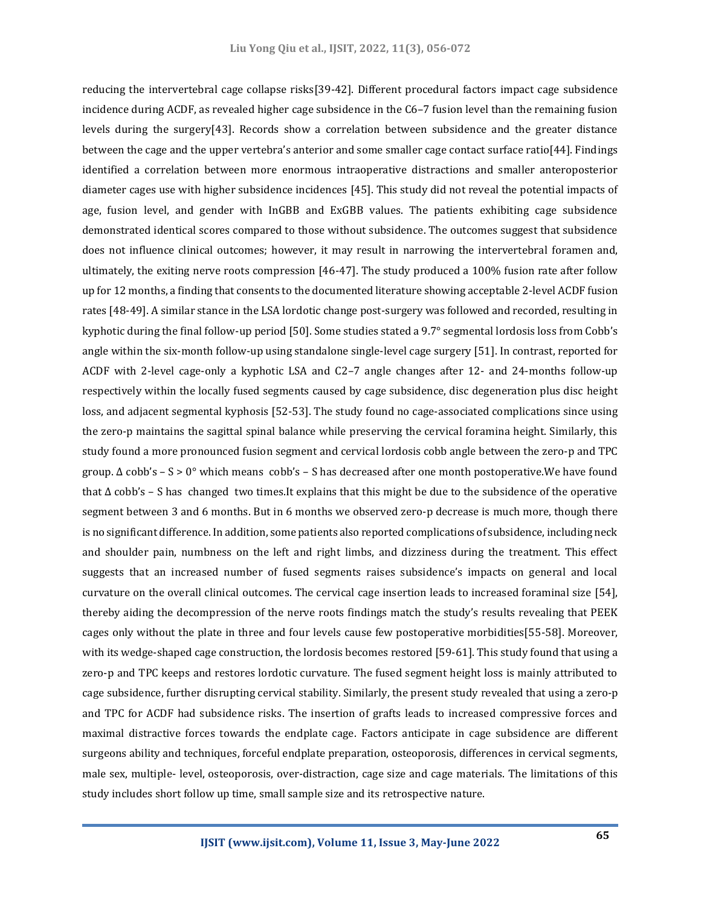reducing the intervertebral cage collapse risks[39-42]. Different procedural factors impact cage subsidence incidence during ACDF, as revealed higher cage subsidence in the C6–7 fusion level than the remaining fusion levels during the surgery[43]. Records show a correlation between subsidence and the greater distance between the cage and the upper vertebra's anterior and some smaller cage contact surface ratio[44]. Findings identified a correlation between more enormous intraoperative distractions and smaller anteroposterior diameter cages use with higher subsidence incidences [45]. This study did not reveal the potential impacts of age, fusion level, and gender with InGBB and ExGBB values. The patients exhibiting cage subsidence demonstrated identical scores compared to those without subsidence. The outcomes suggest that subsidence does not influence clinical outcomes; however, it may result in narrowing the intervertebral foramen and, ultimately, the exiting nerve roots compression [46-47]. The study produced a 100% fusion rate after follow up for 12 months, a finding that consents to the documented literature showing acceptable 2-level ACDF fusion rates [48-49]. A similar stance in the LSA lordotic change post-surgery was followed and recorded, resulting in kyphotic during the final follow-up period [50]. Some studies stated a 9.7° segmental lordosis loss from Cobb's angle within the six-month follow-up using standalone single-level cage surgery [51]. In contrast, reported for ACDF with 2-level cage-only a kyphotic LSA and C2–7 angle changes after 12- and 24-months follow-up respectively within the locally fused segments caused by cage subsidence, disc degeneration plus disc height loss, and adjacent segmental kyphosis [52-53]. The study found no cage-associated complications since using the zero-p maintains the sagittal spinal balance while preserving the cervical foramina height. Similarly, this study found a more pronounced fusion segment and cervical lordosis cobb angle between the zero-p and TPC group.  $\Delta$  cobb's – S > 0° which means cobb's – S has decreased after one month postoperative. We have found that Δ cobb's – S has changed two times.It explains that this might be due to the subsidence of the operative segment between 3 and 6 months. But in 6 months we observed zero-p decrease is much more, though there is no significant difference. In addition, some patients also reported complications of subsidence, including neck and shoulder pain, numbness on the left and right limbs, and dizziness during the treatment. This effect suggests that an increased number of fused segments raises subsidence's impacts on general and local curvature on the overall clinical outcomes. The cervical cage insertion leads to increased foraminal size [54], thereby aiding the decompression of the nerve roots findings match the study's results revealing that PEEK cages only without the plate in three and four levels cause few postoperative morbidities[55-58]. Moreover, with its wedge-shaped cage construction, the lordosis becomes restored [59-61]. This study found that using a zero-p and TPC keeps and restores lordotic curvature. The fused segment height loss is mainly attributed to cage subsidence, further disrupting cervical stability. Similarly, the present study revealed that using a zero-p and TPC for ACDF had subsidence risks. The insertion of grafts leads to increased compressive forces and maximal distractive forces towards the endplate cage. Factors anticipate in cage subsidence are different surgeons ability and techniques, forceful endplate preparation, osteoporosis, differences in cervical segments, male sex, multiple- level, osteoporosis, over-distraction, cage size and cage materials. The limitations of this study includes short follow up time, small sample size and its retrospective nature.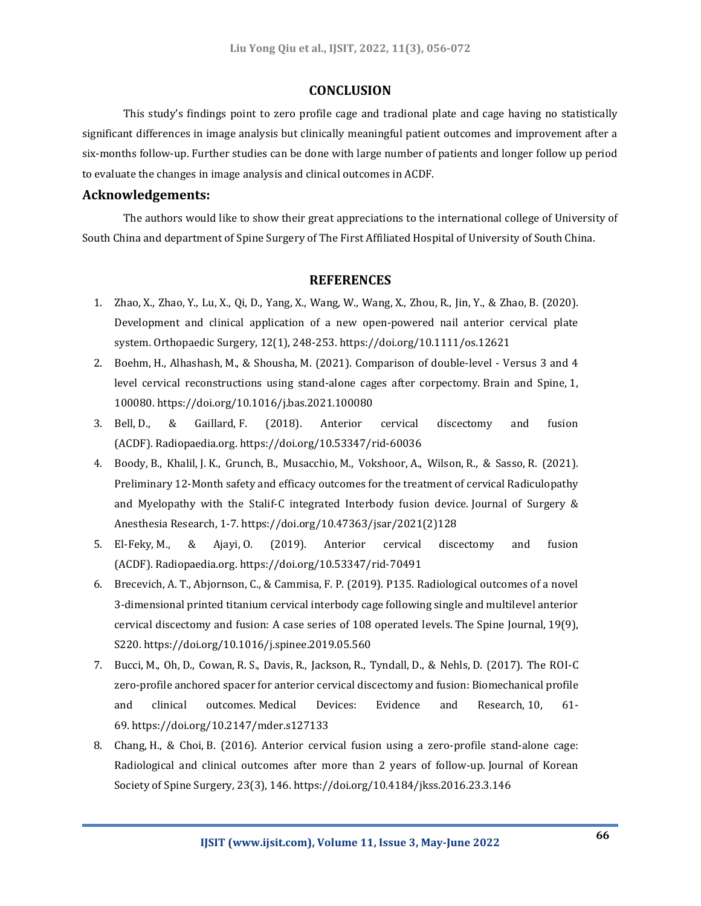### **CONCLUSION**

This study's findings point to zero profile cage and tradional plate and cage having no statistically significant differences in image analysis but clinically meaningful patient outcomes and improvement after a six-months follow-up. Further studies can be done with large number of patients and longer follow up period to evaluate the changes in image analysis and clinical outcomes in ACDF.

## **Acknowledgements:**

The authors would like to show their great appreciations to the international college of University of South China and department of Spine Surgery of The First Affiliated Hospital of University of South China.

#### **REFERENCES**

- 1. Zhao, X., Zhao, Y., Lu, X., Qi, D., Yang, X., Wang, W., Wang, X., Zhou, R., Jin, Y., & Zhao, B. (2020). Development and clinical application of a new open-powered nail anterior cervical plate system. Orthopaedic Surgery, 12(1), 248-253. https://doi.org/10.1111/os.12621
- 2. Boehm, H., Alhashash, M., & Shousha, M. (2021). Comparison of double-level Versus 3 and 4 level cervical reconstructions using stand-alone cages after corpectomy. Brain and Spine, 1, 100080. https://doi.org/10.1016/j.bas.2021.100080
- 3. Bell, D., & Gaillard, F. (2018). Anterior cervical discectomy and fusion (ACDF). Radiopaedia.org. https://doi.org/10.53347/rid-60036
- 4. Boody, B., Khalil, J. K., Grunch, B., Musacchio, M., Vokshoor, A., Wilson, R., & Sasso, R. (2021). Preliminary 12-Month safety and efficacy outcomes for the treatment of cervical Radiculopathy and Myelopathy with the Stalif-C integrated Interbody fusion device. Journal of Surgery & Anesthesia Research, 1-7. https://doi.org/10.47363/jsar/2021(2)128
- 5. El-Feky, M., & Ajayi, O. (2019). Anterior cervical discectomy and fusion (ACDF). Radiopaedia.org. https://doi.org/10.53347/rid-70491
- 6. Brecevich, A. T., Abjornson, C., & Cammisa, F. P. (2019). P135. Radiological outcomes of a novel 3-dimensional printed titanium cervical interbody cage following single and multilevel anterior cervical discectomy and fusion: A case series of 108 operated levels. The Spine Journal, 19(9), S220. https://doi.org/10.1016/j.spinee.2019.05.560
- 7. Bucci, M., Oh, D., Cowan, R. S., Davis, R., Jackson, R., Tyndall, D., & Nehls, D. (2017). The ROI-C zero-profile anchored spacer for anterior cervical discectomy and fusion: Biomechanical profile and clinical outcomes. Medical Devices: Evidence and Research, 10, 61- 69. https://doi.org/10.2147/mder.s127133
- 8. Chang, H., & Choi, B. (2016). Anterior cervical fusion using a zero-profile stand-alone cage: Radiological and clinical outcomes after more than 2 years of follow-up. Journal of Korean Society of Spine Surgery, 23(3), 146. https://doi.org/10.4184/jkss.2016.23.3.146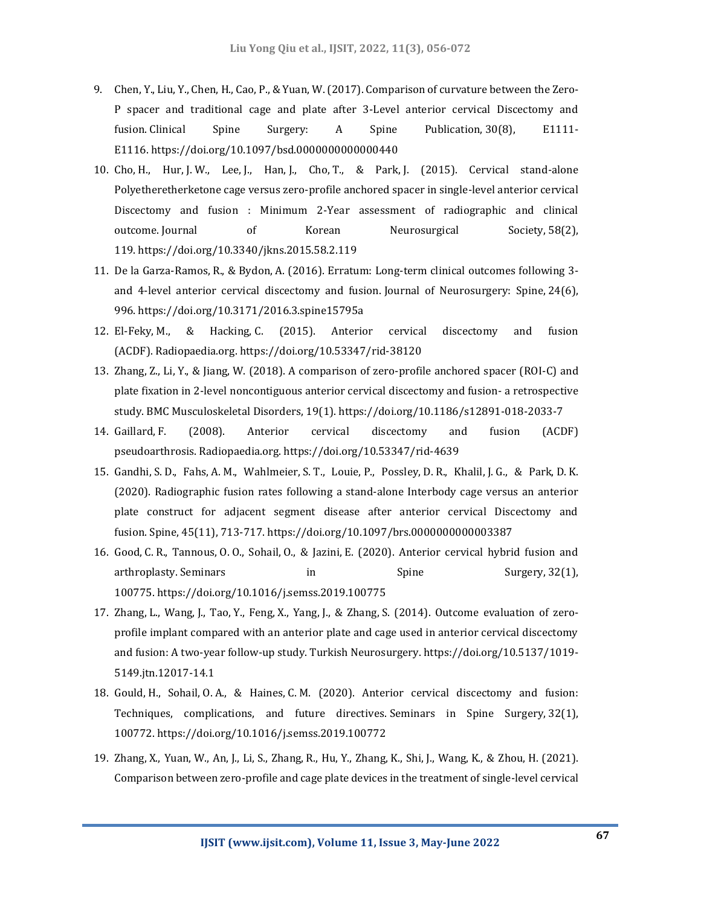- 9. Chen, Y., Liu, Y., Chen, H., Cao, P., & Yuan, W. (2017). Comparison of curvature between the Zero-P spacer and traditional cage and plate after 3-Level anterior cervical Discectomy and fusion. Clinical Spine Surgery: A Spine Publication, 30(8), E1111- E1116. https://doi.org/10.1097/bsd.0000000000000440
- 10. Cho, H., Hur, J. W., Lee, J., Han, J., Cho, T., & Park, J. (2015). Cervical stand-alone Polyetheretherketone cage versus zero-profile anchored spacer in single-level anterior cervical Discectomy and fusion : Minimum 2-Year assessment of radiographic and clinical outcome. Journal of Korean Neurosurgical Society, 58(2), 119. https://doi.org/10.3340/jkns.2015.58.2.119
- 11. De la Garza-Ramos, R., & Bydon, A. (2016). Erratum: Long-term clinical outcomes following 3 and 4-level anterior cervical discectomy and fusion. Journal of Neurosurgery: Spine, 24(6), 996. https://doi.org/10.3171/2016.3.spine15795a
- 12. El-Feky, M., & Hacking, C. (2015). Anterior cervical discectomy and fusion (ACDF). Radiopaedia.org. https://doi.org/10.53347/rid-38120
- 13. Zhang, Z., Li, Y., & Jiang, W. (2018). A comparison of zero-profile anchored spacer (ROI-C) and plate fixation in 2-level noncontiguous anterior cervical discectomy and fusion- a retrospective study. BMC Musculoskeletal Disorders, 19(1). https://doi.org/10.1186/s12891-018-2033-7
- 14. Gaillard, F. (2008). Anterior cervical discectomy and fusion (ACDF) pseudoarthrosis. Radiopaedia.org. https://doi.org/10.53347/rid-4639
- 15. Gandhi, S. D., Fahs, A. M., Wahlmeier, S. T., Louie, P., Possley, D. R., Khalil, J. G., & Park, D. K. (2020). Radiographic fusion rates following a stand-alone Interbody cage versus an anterior plate construct for adjacent segment disease after anterior cervical Discectomy and fusion. Spine, 45(11), 713-717. https://doi.org/10.1097/brs.0000000000003387
- 16. Good, C. R., Tannous, O. O., Sohail, O., & Jazini, E. (2020). Anterior cervical hybrid fusion and arthroplasty. Seminars in Spine Surgery, 32(1), 100775. https://doi.org/10.1016/j.semss.2019.100775
- 17. Zhang, L., Wang, J., Tao, Y., Feng, X., Yang, J., & Zhang, S. (2014). Outcome evaluation of zeroprofile implant compared with an anterior plate and cage used in anterior cervical discectomy and fusion: A two-year follow-up study. Turkish Neurosurgery. https://doi.org/10.5137/1019- 5149.jtn.12017-14.1
- 18. Gould, H., Sohail, O. A., & Haines, C. M. (2020). Anterior cervical discectomy and fusion: Techniques, complications, and future directives. Seminars in Spine Surgery, 32(1), 100772. https://doi.org/10.1016/j.semss.2019.100772
- 19. Zhang, X., Yuan, W., An, J., Li, S., Zhang, R., Hu, Y., Zhang, K., Shi, J., Wang, K., & Zhou, H. (2021). Comparison between zero-profile and cage plate devices in the treatment of single-level cervical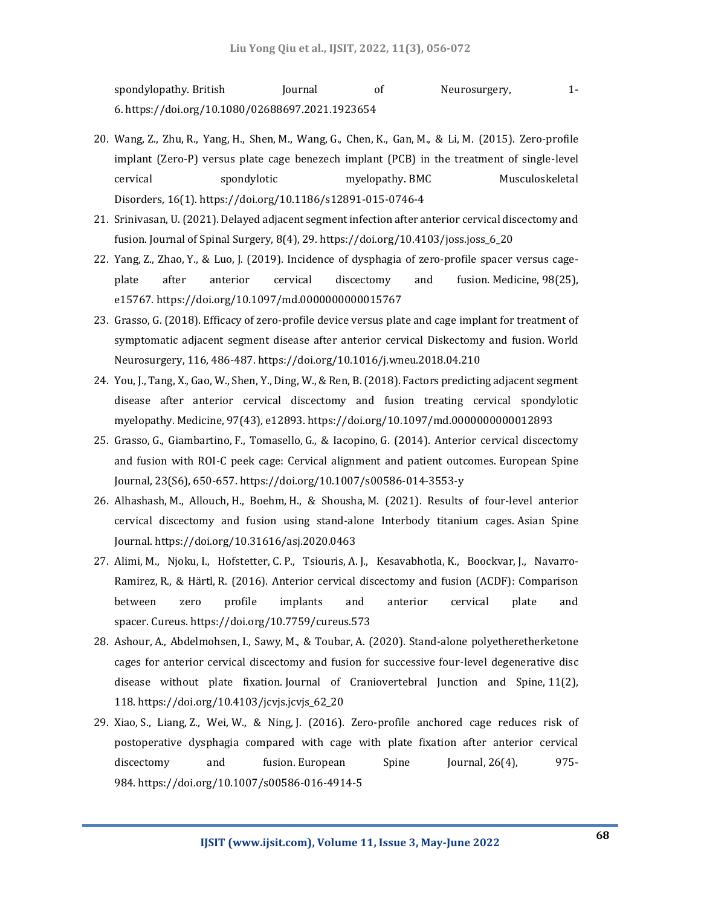spondylopathy. British Journal of Neurosurgery, 1-6. https://doi.org/10.1080/02688697.2021.1923654

- 20. Wang, Z., Zhu, R., Yang, H., Shen, M., Wang, G., Chen, K., Gan, M., & Li, M. (2015). Zero-profile implant (Zero-P) versus plate cage benezech implant (PCB) in the treatment of single-level cervical spondylotic myelopathy. BMC Musculoskeletal Disorders, 16(1). https://doi.org/10.1186/s12891-015-0746-4
- 21. Srinivasan, U. (2021). Delayed adjacent segment infection after anterior cervical discectomy and fusion. Journal of Spinal Surgery, 8(4), 29. https://doi.org/10.4103/joss.joss\_6\_20
- 22. Yang, Z., Zhao, Y., & Luo, J. (2019). Incidence of dysphagia of zero-profile spacer versus cageplate after anterior cervical discectomy and fusion. Medicine, 98(25), e15767. https://doi.org/10.1097/md.0000000000015767
- 23. Grasso, G. (2018). Efficacy of zero-profile device versus plate and cage implant for treatment of symptomatic adjacent segment disease after anterior cervical Diskectomy and fusion. World Neurosurgery, 116, 486-487. https://doi.org/10.1016/j.wneu.2018.04.210
- 24. You, J., Tang, X., Gao, W., Shen, Y., Ding, W., & Ren, B. (2018). Factors predicting adjacent segment disease after anterior cervical discectomy and fusion treating cervical spondylotic myelopathy. Medicine, 97(43), e12893. https://doi.org/10.1097/md.0000000000012893
- 25. Grasso, G., Giambartino, F., Tomasello, G., & Iacopino, G. (2014). Anterior cervical discectomy and fusion with ROI-C peek cage: Cervical alignment and patient outcomes. European Spine Journal, 23(S6), 650-657. https://doi.org/10.1007/s00586-014-3553-y
- 26. Alhashash, M., Allouch, H., Boehm, H., & Shousha, M. (2021). Results of four-level anterior cervical discectomy and fusion using stand-alone Interbody titanium cages. Asian Spine Journal. https://doi.org/10.31616/asj.2020.0463
- 27. Alimi, M., Njoku, I., Hofstetter, C. P., Tsiouris, A. J., Kesavabhotla, K., Boockvar, J., Navarro-Ramirez, R., & Härtl, R. (2016). Anterior cervical discectomy and fusion (ACDF): Comparison between zero profile implants and anterior cervical plate and spacer. Cureus. https://doi.org/10.7759/cureus.573
- 28. Ashour, A., Abdelmohsen, I., Sawy, M., & Toubar, A. (2020). Stand-alone polyetheretherketone cages for anterior cervical discectomy and fusion for successive four-level degenerative disc disease without plate fixation. Journal of Craniovertebral Junction and Spine, 11(2), 118. https://doi.org/10.4103/jcvjs.jcvjs\_62\_20
- 29. Xiao, S., Liang, Z., Wei, W., & Ning, J. (2016). Zero-profile anchored cage reduces risk of postoperative dysphagia compared with cage with plate fixation after anterior cervical discectomy and fusion. European Spine Journal, 26(4), 975-984. https://doi.org/10.1007/s00586-016-4914-5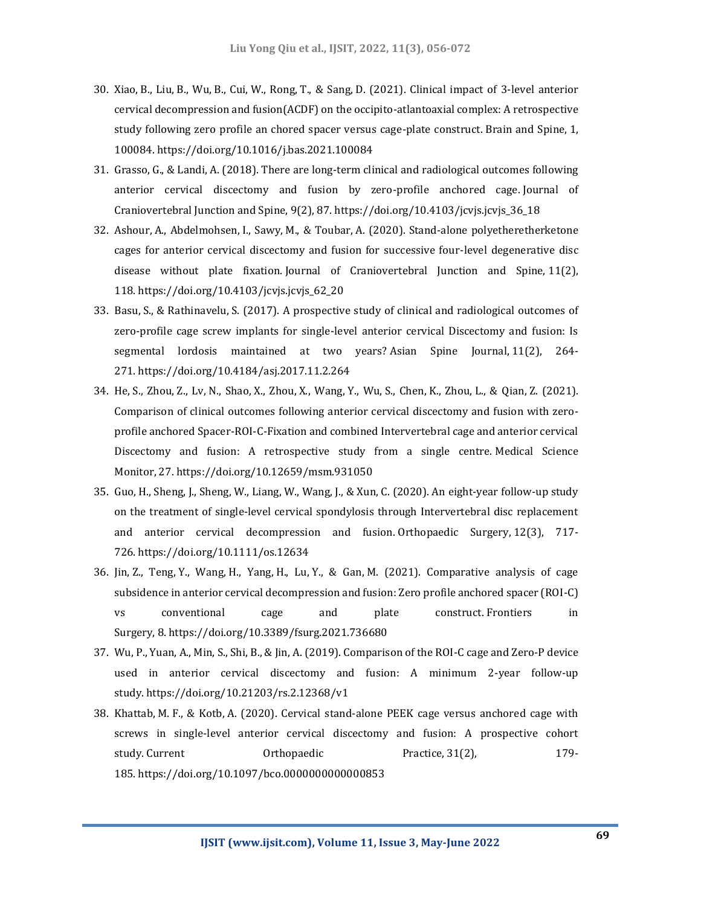- 30. Xiao, B., Liu, B., Wu, B., Cui, W., Rong, T., & Sang, D. (2021). Clinical impact of 3-level anterior cervical decompression and fusion(ACDF) on the occipito-atlantoaxial complex: A retrospective study following zero profile an chored spacer versus cage-plate construct. Brain and Spine, 1, 100084. https://doi.org/10.1016/j.bas.2021.100084
- 31. Grasso, G., & Landi, A. (2018). There are long-term clinical and radiological outcomes following anterior cervical discectomy and fusion by zero-profile anchored cage. Journal of Craniovertebral Junction and Spine,  $9(2)$ , 87. https://doi.org/10.4103/jcvjs.jcvjs.36.18
- 32. Ashour, A., Abdelmohsen, I., Sawy, M., & Toubar, A. (2020). Stand-alone polyetheretherketone cages for anterior cervical discectomy and fusion for successive four-level degenerative disc disease without plate fixation. Journal of Craniovertebral Junction and Spine, 11(2), 118. https://doi.org/10.4103/jcvjs.jcvjs\_62\_20
- 33. Basu, S., & Rathinavelu, S. (2017). A prospective study of clinical and radiological outcomes of zero-profile cage screw implants for single-level anterior cervical Discectomy and fusion: Is segmental lordosis maintained at two years? Asian Spine Journal, 11(2), 264- 271. https://doi.org/10.4184/asj.2017.11.2.264
- 34. He, S., Zhou, Z., Lv, N., Shao, X., Zhou, X., Wang, Y., Wu, S., Chen, K., Zhou, L., & Qian, Z. (2021). Comparison of clinical outcomes following anterior cervical discectomy and fusion with zeroprofile anchored Spacer-ROI-C-Fixation and combined Intervertebral cage and anterior cervical Discectomy and fusion: A retrospective study from a single centre. Medical Science Monitor, 27. https://doi.org/10.12659/msm.931050
- 35. Guo, H., Sheng, J., Sheng, W., Liang, W., Wang, J., & Xun, C. (2020). An eight‐year follow‐up study on the treatment of single‐level cervical spondylosis through Intervertebral disc replacement and anterior cervical decompression and fusion. Orthopaedic Surgery, 12(3), 717- 726. https://doi.org/10.1111/os.12634
- 36. Jin, Z., Teng, Y., Wang, H., Yang, H., Lu, Y., & Gan, M. (2021). Comparative analysis of cage subsidence in anterior cervical decompression and fusion: Zero profile anchored spacer (ROI-C) vs conventional cage and plate construct. Frontiers in Surgery, 8. https://doi.org/10.3389/fsurg.2021.736680
- 37. Wu, P., Yuan, A., Min, S., Shi, B., & Jin, A. (2019). Comparison of the ROI-C cage and Zero-P device used in anterior cervical discectomy and fusion: A minimum 2-year follow-up study. https://doi.org/10.21203/rs.2.12368/v1
- 38. Khattab, M. F., & Kotb, A. (2020). Cervical stand-alone PEEK cage versus anchored cage with screws in single-level anterior cervical discectomy and fusion: A prospective cohort study. Current Orthopaedic Practice, 31(2), 179- 185. https://doi.org/10.1097/bco.0000000000000853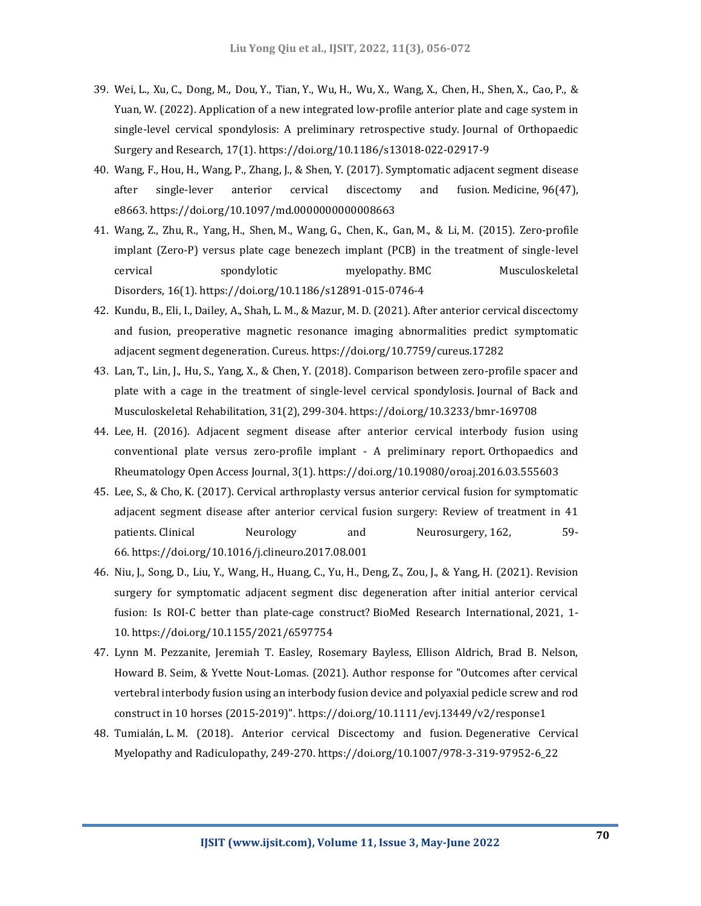- 39. Wei, L., Xu, C., Dong, M., Dou, Y., Tian, Y., Wu, H., Wu, X., Wang, X., Chen, H., Shen, X., Cao, P., & Yuan, W. (2022). Application of a new integrated low-profile anterior plate and cage system in single-level cervical spondylosis: A preliminary retrospective study. Journal of Orthopaedic Surgery and Research, 17(1). https://doi.org/10.1186/s13018-022-02917-9
- 40. Wang, F., Hou, H., Wang, P., Zhang, J., & Shen, Y. (2017). Symptomatic adjacent segment disease after single-lever anterior cervical discectomy and fusion. Medicine, 96(47), e8663. https://doi.org/10.1097/md.0000000000008663
- 41. Wang, Z., Zhu, R., Yang, H., Shen, M., Wang, G., Chen, K., Gan, M., & Li, M. (2015). Zero-profile implant (Zero-P) versus plate cage benezech implant (PCB) in the treatment of single-level cervical spondylotic myelopathy. BMC Musculoskeletal Disorders, 16(1). https://doi.org/10.1186/s12891-015-0746-4
- 42. Kundu, B., Eli, I., Dailey, A., Shah, L. M., & Mazur, M. D. (2021). After anterior cervical discectomy and fusion, preoperative magnetic resonance imaging abnormalities predict symptomatic adjacent segment degeneration. Cureus. https://doi.org/10.7759/cureus.17282
- 43. Lan, T., Lin, J., Hu, S., Yang, X., & Chen, Y. (2018). Comparison between zero-profile spacer and plate with a cage in the treatment of single-level cervical spondylosis. Journal of Back and Musculoskeletal Rehabilitation, 31(2), 299-304. https://doi.org/10.3233/bmr-169708
- 44. Lee, H. (2016). Adjacent segment disease after anterior cervical interbody fusion using conventional plate versus zero-profile implant - A preliminary report. Orthopaedics and Rheumatology Open Access Journal, 3(1). https://doi.org/10.19080/oroaj.2016.03.555603
- 45. Lee, S., & Cho, K. (2017). Cervical arthroplasty versus anterior cervical fusion for symptomatic adjacent segment disease after anterior cervical fusion surgery: Review of treatment in 41 patients. Clinical Meurology and Neurosurgery, 162, 59-66. https://doi.org/10.1016/j.clineuro.2017.08.001
- 46. Niu, J., Song, D., Liu, Y., Wang, H., Huang, C., Yu, H., Deng, Z., Zou, J., & Yang, H. (2021). Revision surgery for symptomatic adjacent segment disc degeneration after initial anterior cervical fusion: Is ROI-C better than plate-cage construct? BioMed Research International, 2021, 1- 10. https://doi.org/10.1155/2021/6597754
- 47. Lynn M. Pezzanite, Jeremiah T. Easley, Rosemary Bayless, Ellison Aldrich, Brad B. Nelson, Howard B. Seim, & Yvette Nout‐Lomas. (2021). Author response for "Outcomes after cervical vertebral interbody fusion using an interbody fusion device and polyaxial pedicle screw and rod construct in 10 horses (2015‐2019)". https://doi.org/10.1111/evj.13449/v2/response1
- 48. Tumialán, L. M. (2018). Anterior cervical Discectomy and fusion. Degenerative Cervical Myelopathy and Radiculopathy, 249-270. https://doi.org/10.1007/978-3-319-97952-6\_22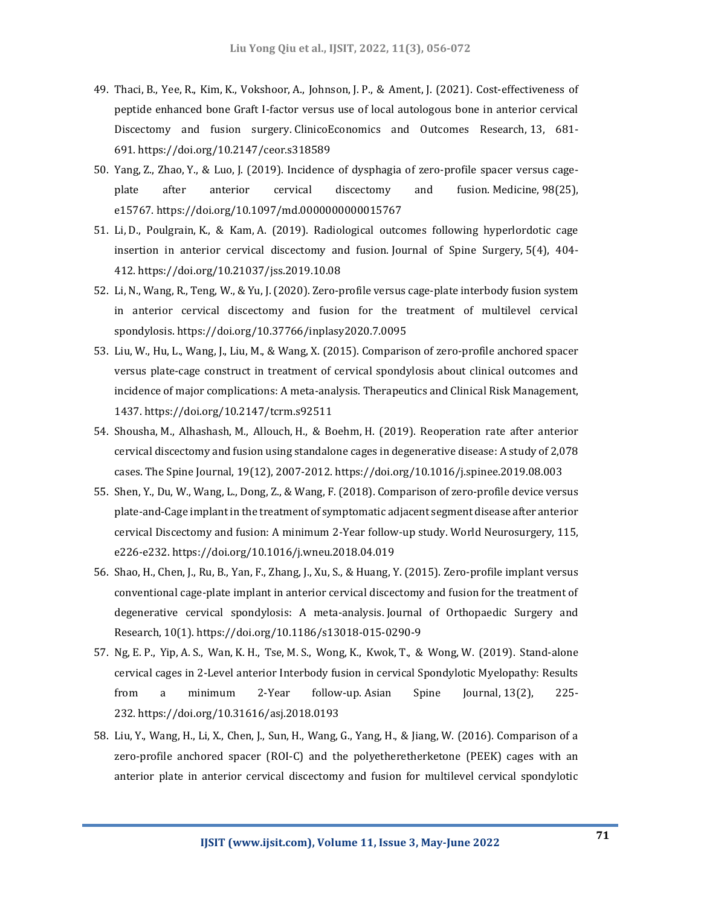- 49. Thaci, B., Yee, R., Kim, K., Vokshoor, A., Johnson, J. P., & Ament, J. (2021). Cost-effectiveness of peptide enhanced bone Graft I-factor versus use of local autologous bone in anterior cervical Discectomy and fusion surgery. ClinicoEconomics and Outcomes Research, 13, 681- 691. https://doi.org/10.2147/ceor.s318589
- 50. Yang, Z., Zhao, Y., & Luo, J. (2019). Incidence of dysphagia of zero-profile spacer versus cageplate after anterior cervical discectomy and fusion. Medicine, 98(25), e15767. https://doi.org/10.1097/md.0000000000015767
- 51. Li, D., Poulgrain, K., & Kam, A. (2019). Radiological outcomes following hyperlordotic cage insertion in anterior cervical discectomy and fusion. Journal of Spine Surgery, 5(4), 404- 412. https://doi.org/10.21037/jss.2019.10.08
- 52. Li, N., Wang, R., Teng, W., & Yu, J. (2020). Zero-profile versus cage-plate interbody fusion system in anterior cervical discectomy and fusion for the treatment of multilevel cervical spondylosis. https://doi.org/10.37766/inplasy2020.7.0095
- 53. Liu, W., Hu, L., Wang, J., Liu, M., & Wang, X. (2015). Comparison of zero-profile anchored spacer versus plate-cage construct in treatment of cervical spondylosis about clinical outcomes and incidence of major complications: A meta-analysis. Therapeutics and Clinical Risk Management, 1437. https://doi.org/10.2147/tcrm.s92511
- 54. Shousha, M., Alhashash, M., Allouch, H., & Boehm, H. (2019). Reoperation rate after anterior cervical discectomy and fusion using standalone cages in degenerative disease: A study of 2,078 cases. The Spine Journal, 19(12), 2007-2012. https://doi.org/10.1016/j.spinee.2019.08.003
- 55. Shen, Y., Du, W., Wang, L., Dong, Z., & Wang, F. (2018). Comparison of zero-profile device versus plate-and-Cage implant in the treatment of symptomatic adjacent segment disease after anterior cervical Discectomy and fusion: A minimum 2-Year follow-up study. World Neurosurgery, 115, e226-e232. https://doi.org/10.1016/j.wneu.2018.04.019
- 56. Shao, H., Chen, J., Ru, B., Yan, F., Zhang, J., Xu, S., & Huang, Y. (2015). Zero-profile implant versus conventional cage-plate implant in anterior cervical discectomy and fusion for the treatment of degenerative cervical spondylosis: A meta-analysis. Journal of Orthopaedic Surgery and Research, 10(1). https://doi.org/10.1186/s13018-015-0290-9
- 57. Ng, E. P., Yip, A. S., Wan, K. H., Tse, M. S., Wong, K., Kwok, T., & Wong, W. (2019). Stand-alone cervical cages in 2-Level anterior Interbody fusion in cervical Spondylotic Myelopathy: Results from a minimum 2-Year follow-up. Asian Spine Journal, 13(2), 225- 232. https://doi.org/10.31616/asj.2018.0193
- 58. Liu, Y., Wang, H., Li, X., Chen, J., Sun, H., Wang, G., Yang, H., & Jiang, W. (2016). Comparison of a zero-profile anchored spacer (ROI-C) and the polyetheretherketone (PEEK) cages with an anterior plate in anterior cervical discectomy and fusion for multilevel cervical spondylotic